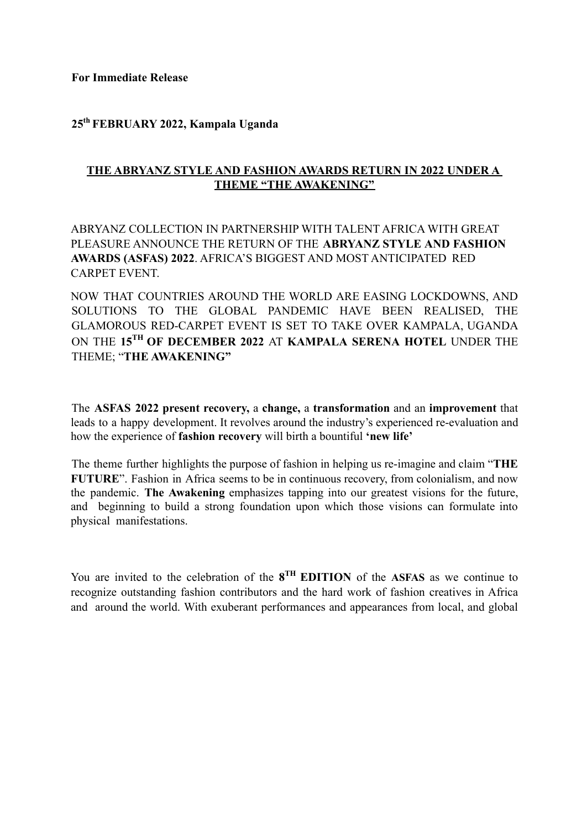**For Immediate Release**

## **25th FEBRUARY 2022, Kampala Uganda**

## **THE ABRYANZ STYLE AND FASHION AWARDS RETURN IN 2022 UNDER A THEME "THE AWAKENING"**

## ABRYANZ COLLECTION IN PARTNERSHIP WITH TALENT AFRICA WITH GREAT PLEASURE ANNOUNCE THE RETURN OF THE **ABRYANZ STYLE AND FASHION AWARDS (ASFAS) 2022**. AFRICA'S BIGGEST AND MOST ANTICIPATED RED CARPET EVENT.

NOW THAT COUNTRIES AROUND THE WORLD ARE EASING LOCKDOWNS, AND SOLUTIONS TO THE GLOBAL PANDEMIC HAVE BEEN REALISED, THE GLAMOROUS RED-CARPET EVENT IS SET TO TAKE OVER KAMPALA, UGANDA ON THE **15TH OF DECEMBER 2022** AT **KAMPALA SERENA HOTEL** UNDER THE THEME; "**THE AWAKENING"**

The **ASFAS 2022 present recovery,** a **change,** a **transformation** and an **improvement** that leads to a happy development. It revolves around the industry's experienced re-evaluation and how the experience of **fashion recovery** will birth a bountiful **'new life'**

The theme further highlights the purpose of fashion in helping us re-imagine and claim "**THE FUTURE**". Fashion in Africa seems to be in continuous recovery, from colonialism, and now the pandemic. **The Awakening** emphasizes tapping into our greatest visions for the future, and beginning to build a strong foundation upon which those visions can formulate into physical manifestations.

You are invited to the celebration of the **8 TH EDITION** of the **ASFAS** as we continue to recognize outstanding fashion contributors and the hard work of fashion creatives in Africa and around the world. With exuberant performances and appearances from local, and global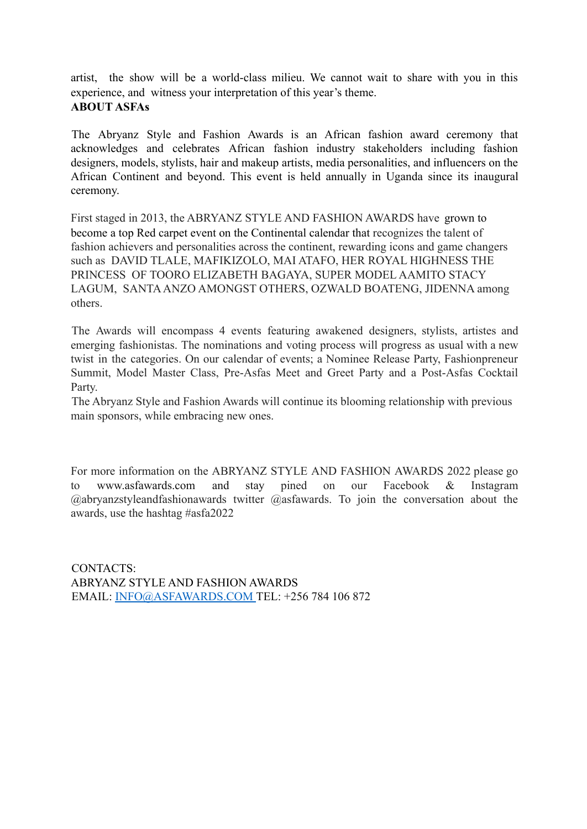artist, the show will be a world-class milieu. We cannot wait to share with you in this experience, and witness your interpretation of this year's theme. **ABOUT ASFAs**

The Abryanz Style and Fashion Awards is an African fashion award ceremony that acknowledges and celebrates African fashion industry stakeholders including fashion designers, models, stylists, hair and makeup artists, media personalities, and influencers on the African Continent and beyond. This event is held annually in Uganda since its inaugural ceremony.

First staged in 2013, the ABRYANZ STYLE AND FASHION AWARDS have grown to become a top Red carpet event on the Continental calendar that recognizes the talent of fashion achievers and personalities across the continent, rewarding icons and game changers such as DAVID TLALE, MAFIKIZOLO, MAI ATAFO, HER ROYAL HIGHNESS THE PRINCESS OF TOORO ELIZABETH BAGAYA, SUPER MODEL AAMITO STACY LAGUM, SANTA ANZO AMONGST OTHERS, OZWALD BOATENG, JIDENNA among others.

The Awards will encompass 4 events featuring awakened designers, stylists, artistes and emerging fashionistas. The nominations and voting process will progress as usual with a new twist in the categories. On our calendar of events; a Nominee Release Party, Fashionpreneur Summit, Model Master Class, Pre-Asfas Meet and Greet Party and a Post-Asfas Cocktail Party.

The Abryanz Style and Fashion Awards will continue its blooming relationship with previous main sponsors, while embracing new ones.

For more information on the ABRYANZ STYLE AND FASHION AWARDS 2022 please go to www.asfawards.com and stay pined on our Facebook & Instagram @abryanzstyleandfashionawards twitter @asfawards. To join the conversation about the awards, use the hashtag #asfa2022

CONTACTS: ABRYANZ STYLE AND FASHION AWARDS EMAIL: INFO@ASFAWARDS.COM TEL: +256 784 106 872